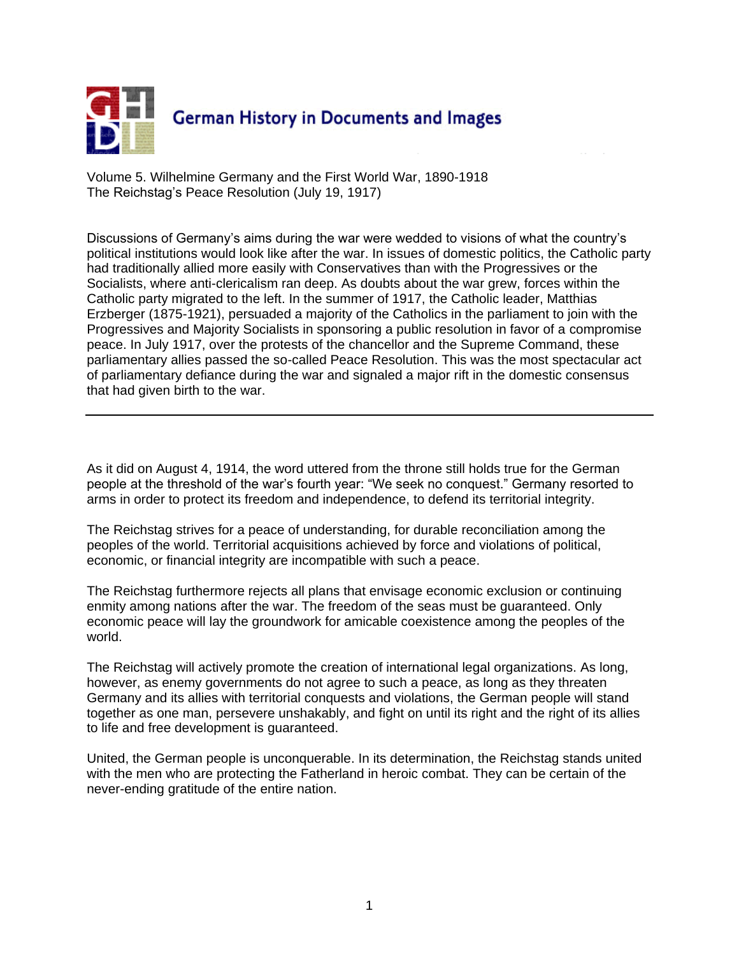

Volume 5. Wilhelmine Germany and the First World War, 1890-1918 The Reichstag's Peace Resolution (July 19, 1917)

Discussions of Germany's aims during the war were wedded to visions of what the country's political institutions would look like after the war. In issues of domestic politics, the Catholic party had traditionally allied more easily with Conservatives than with the Progressives or the Socialists, where anti-clericalism ran deep. As doubts about the war grew, forces within the Catholic party migrated to the left. In the summer of 1917, the Catholic leader, Matthias Erzberger (1875-1921), persuaded a majority of the Catholics in the parliament to join with the Progressives and Majority Socialists in sponsoring a public resolution in favor of a compromise peace. In July 1917, over the protests of the chancellor and the Supreme Command, these parliamentary allies passed the so-called Peace Resolution. This was the most spectacular act of parliamentary defiance during the war and signaled a major rift in the domestic consensus that had given birth to the war.

As it did on August 4, 1914, the word uttered from the throne still holds true for the German people at the threshold of the war's fourth year: "We seek no conquest." Germany resorted to arms in order to protect its freedom and independence, to defend its territorial integrity.

The Reichstag strives for a peace of understanding, for durable reconciliation among the peoples of the world. Territorial acquisitions achieved by force and violations of political, economic, or financial integrity are incompatible with such a peace.

The Reichstag furthermore rejects all plans that envisage economic exclusion or continuing enmity among nations after the war. The freedom of the seas must be guaranteed. Only economic peace will lay the groundwork for amicable coexistence among the peoples of the world.

The Reichstag will actively promote the creation of international legal organizations. As long, however, as enemy governments do not agree to such a peace, as long as they threaten Germany and its allies with territorial conquests and violations, the German people will stand together as one man, persevere unshakably, and fight on until its right and the right of its allies to life and free development is guaranteed.

United, the German people is unconquerable. In its determination, the Reichstag stands united with the men who are protecting the Fatherland in heroic combat. They can be certain of the never-ending gratitude of the entire nation.